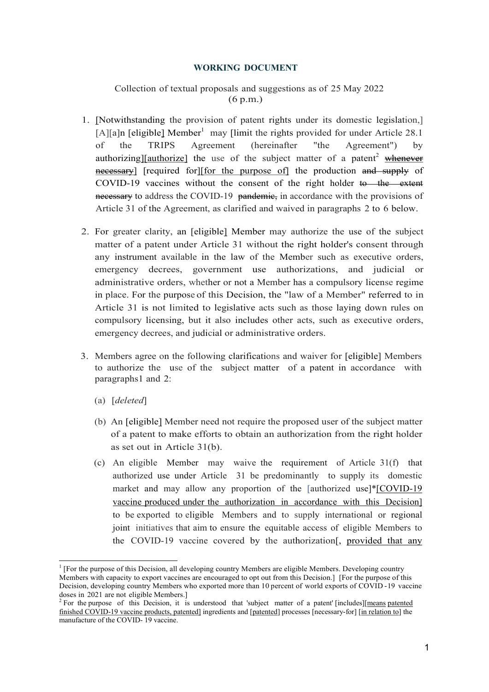#### WORKING DOCUMENT

### Collection of textual proposals and suggestions as of 25 May 2022 (6 p.m.)

- 1. [Notwithstanding the provision of patent rights under its domestic legislation,] [A][a]n [eligible] Member<sup>1</sup> may [limit the rights provided for under Article 28.1] of the TRIPS Agreement (hereinafter "the Agreement") by authorizing][authorize] the use of the subject matter of a patent<sup>2</sup> whenever necessary] [required for][for the purpose of] the production and supply of COVID-19 vaccines without the consent of the right holder to the extent necessary to address the COVID-19 pandemic, in accordance with the provisions of Article 31 of the Agreement, as clarified and waived in paragraphs 2 to 6 below.
- 2. For greater clarity, an [eligible] Member may authorize the use of the subject matter of a patent under Article 31 without the right holder's consent through any instrument available in the law of the Member such as executive orders, emergency decrees, government use authorizations, and judicial or administrative orders, whether or not a Member has a compulsory license regime in place. For the purpose of this Decision, the "law of a Member" referred to in Article 31 is not limited to legislative acts such as those laying down rules on compulsory licensing, but it also includes other acts, such as executive orders, emergency decrees, and judicial or administrative orders.
- 3. Members agree on the following clarifications and waiver for [eligible] Members to authorize the use of the subject matter of a patent in accordance with paragraphs 1 and 2:
	- (a) [deleted]

-

- (b) An [eligible] Member need not require the proposed user of the subject matter of a patent to make efforts to obtain an authorization from the right holder as set out in Article 31(b).
- (c) An eligible Member may waive the requirement of Article 31(f) that authorized use under Article 31 be predominantly to supply its domestic market and may allow any proportion of the [authorized use]\*[COVID-19 vaccine produced under the authorization in accordance with this Decision] to be exported to eligible Members and to supply international or regional joint initiatives that aim to ensure the equitable access of eligible Members to the COVID-19 vaccine covered by the authorization[, provided that any

<sup>&</sup>lt;sup>1</sup> [For the purpose of this Decision, all developing country Members are eligible Members. Developing country Members with capacity to export vaccines are encouraged to opt out from this Decision.] [For the purpose of this Decision, developing country Members who exported more than 10 percent of world exports of COVID - 19 vaccine doses in 2021 are not eligible Members.]

<sup>&</sup>lt;sup>2</sup> For the purpose of this Decision, it is understood that 'subject matter of a patent' [includes] [means patented finished COVID-19 vaccine products, patented] ingredients and [patented] processes [necessary-for] [in relation to] the manufacture of the COVID- 19 vaccine.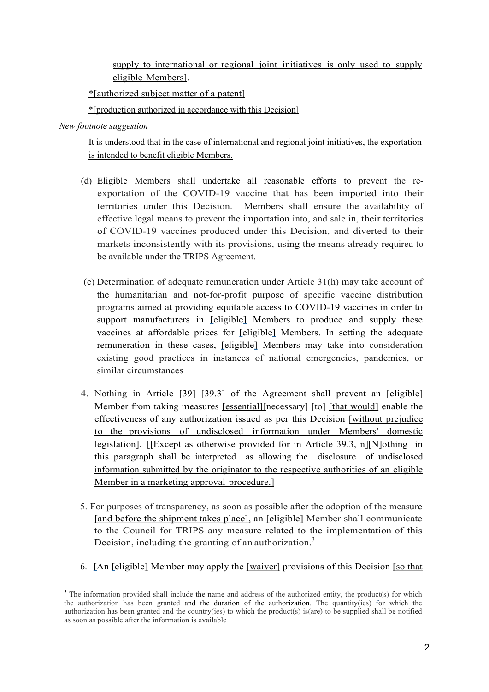supply to international or regional joint initiatives is only used to supply eligible Members].

\*[authorized subject matter of a patent]

\*[production authorized in accordance with this Decision]

New footnote suggestion

-

It is understood that in the case of international and regional joint initiatives, the exportation is intended to benefit eligible Members.

- (d) Eligible Members shall undertake all reasonable efforts to prevent the reexportation of the COVID-19 vaccine that has been imported into their territories under this Decision. Members shall ensure the availability of effective legal means to prevent the importation into, and sale in, their territories of COVID-19 vaccines produced under this Decision, and diverted to their markets inconsistently with its provisions, using the means already required to be available under the TRIPS Agreement.
- (e) Determination of adequate remuneration under Article 31(h) may take account of the humanitarian and not-for-profit purpose of specific vaccine distribution programs aimed at providing equitable access to COVID-19 vaccines in order to support manufacturers in [eligible] Members to produce and supply these vaccines at affordable prices for [eligible] Members. In setting the adequate remuneration in these cases, [eligible] Members may take into consideration existing good practices in instances of national emergencies, pandemics, or similar circumstances
- 4. Nothing in Article [39] [39.3] of the Agreement shall prevent an [eligible] Member from taking measures [essential][necessary] [to] [that would] enable the effectiveness of any authorization issued as per this Decision [without prejudice to the provisions of undisclosed information under Members' domestic legislation]. [[Except as otherwise provided for in Article 39.3, n][N]othing in this paragraph shall be interpreted as allowing the disclosure of undisclosed information submitted by the originator to the respective authorities of an eligible Member in a marketing approval procedure.]
- 5. For purposes of transparency, as soon as possible after the adoption of the measure [and before the shipment takes place], an [eligible] Member shall communicate to the Council for TRIPS any measure related to the implementation of this Decision, including the granting of an authorization.<sup>3</sup>
- 6. [An [eligible] Member may apply the [waiver] provisions of this Decision [so that

<sup>&</sup>lt;sup>3</sup> The information provided shall include the name and address of the authorized entity, the product(s) for which the authorization has been granted and the duration of the authorization. The quantity(ies) for which the authorization has been granted and the country(ies) to which the product(s) is(are) to be supplied shall be notifie